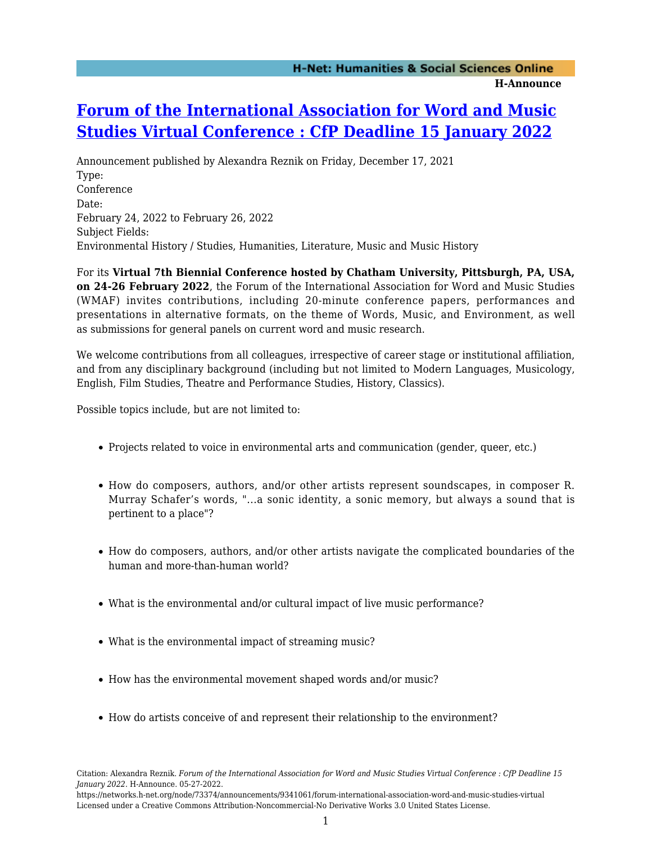## **H-Announce**

## **[Forum of the International Association for Word and Music](https://networks.h-net.org/node/73374/announcements/9341061/forum-international-association-word-and-music-studies-virtual) [Studies Virtual Conference : CfP Deadline 15 January 2022](https://networks.h-net.org/node/73374/announcements/9341061/forum-international-association-word-and-music-studies-virtual)**

Announcement published by Alexandra Reznik on Friday, December 17, 2021 Type: Conference Date: February 24, 2022 to February 26, 2022 Subject Fields: Environmental History / Studies, Humanities, Literature, Music and Music History

For its **Virtual 7th Biennial Conference hosted by Chatham University, Pittsburgh, PA, USA, on 24-26 February 2022**, the Forum of the International Association for Word and Music Studies (WMAF) invites contributions, including 20-minute conference papers, performances and presentations in alternative formats, on the theme of Words, Music, and Environment, as well as submissions for general panels on current word and music research.

We welcome contributions from all colleagues, irrespective of career stage or institutional affiliation, and from any disciplinary background (including but not limited to Modern Languages, Musicology, English, Film Studies, Theatre and Performance Studies, History, Classics).

Possible topics include, but are not limited to:

- Projects related to voice in environmental arts and communication (gender, queer, etc.)
- How do composers, authors, and/or other artists represent soundscapes, in composer R. Murray Schafer's words, "...a sonic identity, a sonic memory, but always a sound that is pertinent to a place"?
- How do composers, authors, and/or other artists navigate the complicated boundaries of the human and more-than-human world?
- What is the environmental and/or cultural impact of live music performance?
- What is the environmental impact of streaming music?
- How has the environmental movement shaped words and/or music?
- How do artists conceive of and represent their relationship to the environment?

Citation: Alexandra Reznik. *Forum of the International Association for Word and Music Studies Virtual Conference : CfP Deadline 15 January 2022*. H-Announce. 05-27-2022.